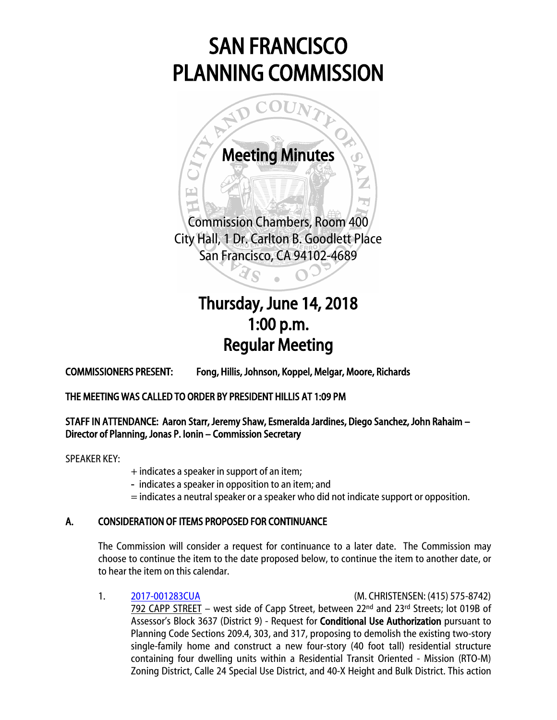# SAN FRANCISCO PLANNING COMMISSION



## Thursday, June 14, 2018 1:00 p.m. Regular Meeting

COMMISSIONERS PRESENT: Fong, Hillis, Johnson, Koppel, Melgar, Moore, Richards

THE MEETING WAS CALLED TO ORDER BY PRESIDENT HILLIS AT 1:09 PM

### STAFF IN ATTENDANCE: Aaron Starr, Jeremy Shaw, Esmeralda Jardines, Diego Sanchez, John Rahaim – Director of Planning, Jonas P. Ionin – Commission Secretary

SPEAKER KEY:

- + indicates a speaker in support of an item;
- indicates a speaker in opposition to an item; and
- = indicates a neutral speaker or a speaker who did not indicate support or opposition.

### A. CONSIDERATION OF ITEMS PROPOSED FOR CONTINUANCE

The Commission will consider a request for continuance to a later date. The Commission may choose to continue the item to the date proposed below, to continue the item to another date, or to hear the item on this calendar.

1. [2017-001283CUA](http://commissions.sfplanning.org/cpcpackets/2017-001283CUAc6.pdf) (M. CHRISTENSEN: (415) 575-8742) 792 CAPP STREET – west side of Capp Street, between  $22<sup>nd</sup>$  and  $23<sup>rd</sup>$  Streets; lot 019B of Assessor's Block 3637 (District 9) - Request for **Conditional Use Authorization** pursuant to Planning Code Sections 209.4, 303, and 317, proposing to demolish the existing two-story single-family home and construct a new four-story (40 foot tall) residential structure containing four dwelling units within a Residential Transit Oriented - Mission (RTO-M) Zoning District, Calle 24 Special Use District, and 40-X Height and Bulk District. This action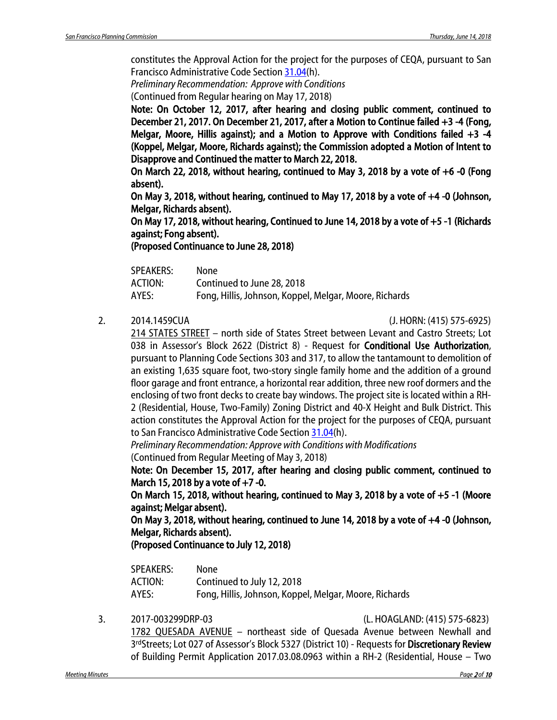constitutes the Approval Action for the project for the purposes of CEQA, pursuant to San Francisco Administrative Code Section [31.04\(](http://library.amlegal.com/nxt/gateway.dll/California/administrative/chapter31californiaenvironmentalqualitya?f=templates$fn=default.htm$3.0$vid=amlegal:sanfrancisco_ca$anc=JD_31.04)h).

*Preliminary Recommendation: Approve with Conditions*

(Continued from Regular hearing on May 17, 2018)

Note: On October 12, 2017, after hearing and closing public comment, continued to December 21, 2017. On December 21, 2017, after a Motion to Continue failed +3 -4 (Fong, Melgar, Moore, Hillis against); and a Motion to Approve with Conditions failed +3 -4 (Koppel, Melgar, Moore, Richards against); the Commission adopted a Motion of Intent to Disapprove and Continued the matter to March 22, 2018.

On March 22, 2018, without hearing, continued to May 3, 2018 by a vote of +6 -0 (Fong absent).

On May 3, 2018, without hearing, continued to May 17, 2018 by a vote of  $+4$  -0 (Johnson, Melgar, Richards absent).

On May 17, 2018, without hearing, Continued to June 14, 2018 by a vote of +5 -1 (Richards against; Fong absent).

(Proposed Continuance to June 28, 2018)

| SPEAKERS: | None                                                   |
|-----------|--------------------------------------------------------|
| ACTION:   | Continued to June 28, 2018                             |
| AYES:     | Fong, Hillis, Johnson, Koppel, Melgar, Moore, Richards |

2. 2014.1459CUA (J. HORN: (415) 575-6925)

214 STATES STREET – north side of States Street between Levant and Castro Streets; Lot 038 in Assessor's Block 2622 (District 8) - Request for Conditional Use Authorization, pursuant to Planning Code Sections 303 and 317, to allow the tantamount to demolition of an existing 1,635 square foot, two-story single family home and the addition of a ground floor garage and front entrance, a horizontal rear addition, three new roof dormers and the enclosing of two front decks to create bay windows. The project site is located within a RH-2 (Residential, House, Two-Family) Zoning District and 40-X Height and Bulk District. This action constitutes the Approval Action for the project for the purposes of CEQA, pursuant to San Francisco Administrative Code Sectio[n 31.04\(](http://library.amlegal.com/nxt/gateway.dll/California/administrative/chapter31californiaenvironmentalqualitya?f=templates$fn=default.htm$3.0$vid=amlegal:sanfrancisco_ca$anc=JD_31.04)h).

*Preliminary Recommendation: Approve with Conditions with Modifications* (Continued from Regular Meeting of May 3, 2018)

Note: On December 15, 2017, after hearing and closing public comment, continued to March 15, 2018 by a vote of  $+7$  -0.

On March 15, 2018, without hearing, continued to May 3, 2018 by a vote of +5 -1 (Moore against; Melgar absent).

On May 3, 2018, without hearing, continued to June 14, 2018 by a vote of +4 -0 (Johnson, Melgar, Richards absent).

(Proposed Continuance to July 12, 2018)

| <b>SPEAKERS:</b> | None                                                   |
|------------------|--------------------------------------------------------|
| ACTION:          | Continued to July 12, 2018                             |
| AYES:            | Fong, Hillis, Johnson, Koppel, Melgar, Moore, Richards |

3. 2017-003299DRP-03 (L. HOAGLAND: (415) 575-6823)

1782 QUESADA AVENUE – northeast side of Quesada Avenue between Newhall and 3rdStreets; Lot 027 of Assessor's Block 5327 (District 10) - Requests for Discretionary Review of Building Permit Application 2017.03.08.0963 within a RH-2 (Residential, House – Two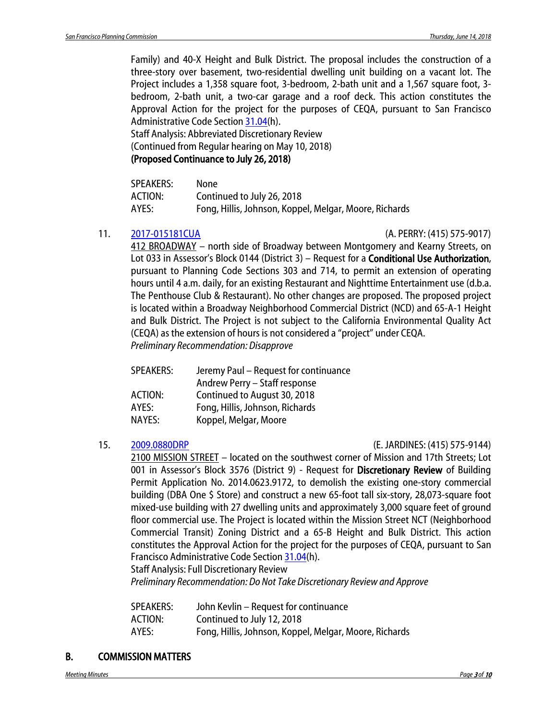Family) and 40-X Height and Bulk District. The proposal includes the construction of a three-story over basement, two-residential dwelling unit building on a vacant lot. The Project includes a 1,358 square foot, 3-bedroom, 2-bath unit and a 1,567 square foot, 3 bedroom, 2-bath unit, a two-car garage and a roof deck. This action constitutes the Approval Action for the project for the purposes of CEQA, pursuant to San Francisco Administrative Code Section [31.04\(](http://library.amlegal.com/nxt/gateway.dll/California/administrative/chapter31californiaenvironmentalqualitya?f=templates$fn=default.htm$3.0$vid=amlegal:sanfrancisco_ca$anc=JD_31.04)h).

Staff Analysis: Abbreviated Discretionary Review (Continued from Regular hearing on May 10, 2018)

### (Proposed Continuance to July 26, 2018)

| <b>SPEAKERS:</b> | None                                                   |
|------------------|--------------------------------------------------------|
| ACTION:          | Continued to July 26, 2018                             |
| AYES:            | Fong, Hillis, Johnson, Koppel, Melgar, Moore, Richards |

### 11. [2017-015181CUA](http://commissions.sfplanning.org/cpcpackets/2017-015181CUA.pdf) (A. PERRY: (415) 575-9017)

412 BROADWAY – north side of Broadway between Montgomery and Kearny Streets, on Lot 033 in Assessor's Block 0144 (District 3) – Request for a **Conditional Use Authorization**, pursuant to Planning Code Sections 303 and 714, to permit an extension of operating hours until 4 a.m. daily, for an existing Restaurant and Nighttime Entertainment use (d.b.a. The Penthouse Club & Restaurant). No other changes are proposed. The proposed project is located within a Broadway Neighborhood Commercial District (NCD) and 65-A-1 Height and Bulk District. The Project is not subject to the California Environmental Quality Act (CEQA) as the extension of hours is not considered a "project" under CEQA. *Preliminary Recommendation: Disapprove*

| Jeremy Paul - Request for continuance |
|---------------------------------------|
| Andrew Perry - Staff response         |
| Continued to August 30, 2018          |
| Fong, Hillis, Johnson, Richards       |
| Koppel, Melgar, Moore                 |
|                                       |

#### 15. [2009.0880DRP](http://commissions.sfplanning.org/cpcpackets/2009.0880DRP.pdf) (E. JARDINES: (415) 575-9144)

2100 MISSION STREET – located on the southwest corner of Mission and 17th Streets; Lot 001 in Assessor's Block 3576 (District 9) - Request for Discretionary Review of Building Permit Application No. 2014.0623.9172, to demolish the existing one-story commercial building (DBA One \$ Store) and construct a new 65-foot tall six-story, 28,073-square foot mixed-use building with 27 dwelling units and approximately 3,000 square feet of ground floor commercial use. The Project is located within the Mission Street NCT (Neighborhood Commercial Transit) Zoning District and a 65-B Height and Bulk District. This action constitutes the Approval Action for the project for the purposes of CEQA, pursuant to San Francisco Administrative Code Section [31.04\(](http://library.amlegal.com/nxt/gateway.dll/California/administrative/chapter31californiaenvironmentalqualitya?f=templates$fn=default.htm$3.0$vid=amlegal:sanfrancisco_ca$anc=JD_31.04)h).

Staff Analysis: Full Discretionary Review

*Preliminary Recommendation: Do Not Take Discretionary Review and Approve* 

| SPEAKERS: | John Kevlin – Request for continuance                  |
|-----------|--------------------------------------------------------|
| ACTION:   | Continued to July 12, 2018                             |
| AYES:     | Fong, Hillis, Johnson, Koppel, Melgar, Moore, Richards |

### B. COMMISSION MATTERS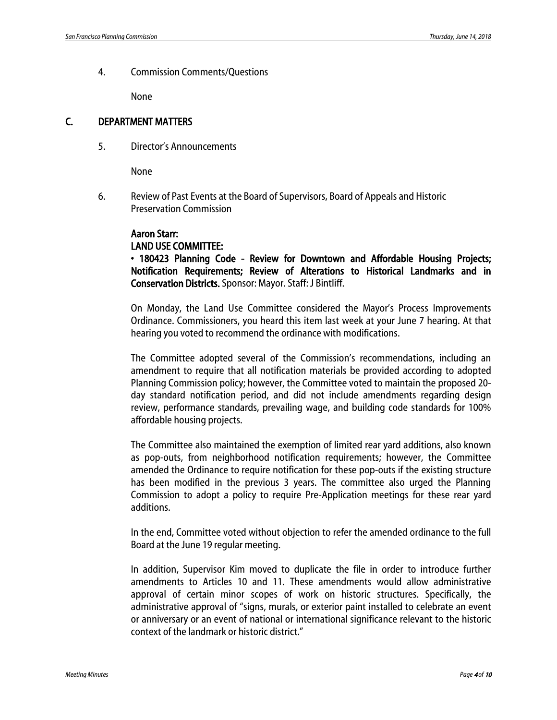4. Commission Comments/Questions

None

### C. DEPARTMENT MATTERS

5. Director's Announcements

None

6. Review of Past Events at the Board of Supervisors, Board of Appeals and Historic Preservation Commission

#### Aaron Starr:

#### LAND USE COMMITTEE:

• 180423 Planning Code - Review for Downtown and Affordable Housing Projects; Notification Requirements; Review of Alterations to Historical Landmarks and in Conservation Districts. Sponsor: Mayor. Staff: J Bintliff.

On Monday, the Land Use Committee considered the Mayor's Process Improvements Ordinance. Commissioners, you heard this item last week at your June 7 hearing. At that hearing you voted to recommend the ordinance with modifications.

The Committee adopted several of the Commission's recommendations, including an amendment to require that all notification materials be provided according to adopted Planning Commission policy; however, the Committee voted to maintain the proposed 20 day standard notification period, and did not include amendments regarding design review, performance standards, prevailing wage, and building code standards for 100% affordable housing projects.

The Committee also maintained the exemption of limited rear yard additions, also known as pop-outs, from neighborhood notification requirements; however, the Committee amended the Ordinance to require notification for these pop-outs if the existing structure has been modified in the previous 3 years. The committee also urged the Planning Commission to adopt a policy to require Pre-Application meetings for these rear yard additions.

In the end, Committee voted without objection to refer the amended ordinance to the full Board at the June 19 regular meeting.

In addition, Supervisor Kim moved to duplicate the file in order to introduce further amendments to Articles 10 and 11. These amendments would allow administrative approval of certain minor scopes of work on historic structures. Specifically, the administrative approval of "signs, murals, or exterior paint installed to celebrate an event or anniversary or an event of national or international significance relevant to the historic context of the landmark or historic district."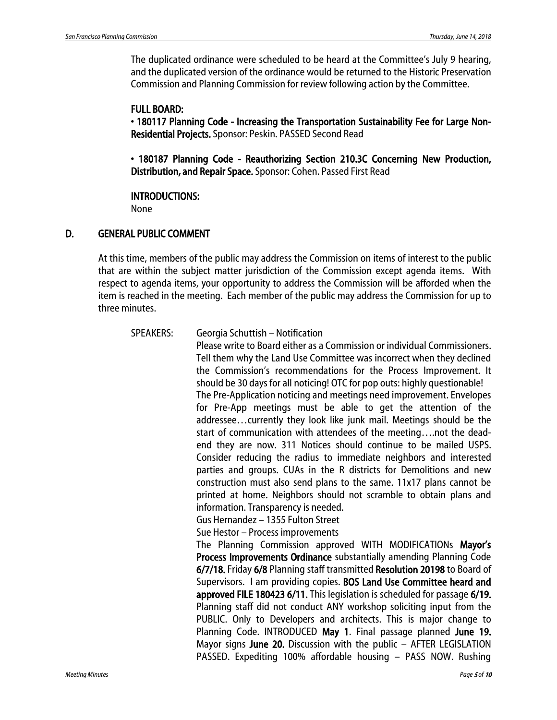The duplicated ordinance were scheduled to be heard at the Committee's July 9 hearing, and the duplicated version of the ordinance would be returned to the Historic Preservation Commission and Planning Commission for review following action by the Committee.

### FULL BOARD:

• 180117 Planning Code - Increasing the Transportation Sustainability Fee for Large Non-Residential Projects. Sponsor: Peskin. PASSED Second Read

• 180187 Planning Code - Reauthorizing Section 210.3C Concerning New Production, Distribution, and Repair Space. Sponsor: Cohen. Passed First Read

### INTRODUCTIONS:

None

### D. GENERAL PUBLIC COMMENT

At this time, members of the public may address the Commission on items of interest to the public that are within the subject matter jurisdiction of the Commission except agenda items. With respect to agenda items, your opportunity to address the Commission will be afforded when the item is reached in the meeting. Each member of the public may address the Commission for up to three minutes.

SPEAKERS: Georgia Schuttish – Notification

Please write to Board either as a Commission or individual Commissioners. Tell them why the Land Use Committee was incorrect when they declined the Commission's recommendations for the Process Improvement. It should be 30 days for all noticing! OTC for pop outs: highly questionable! The Pre-Application noticing and meetings need improvement. Envelopes for Pre-App meetings must be able to get the attention of the addressee…currently they look like junk mail. Meetings should be the start of communication with attendees of the meeting….not the deadend they are now. 311 Notices should continue to be mailed USPS. Consider reducing the radius to immediate neighbors and interested parties and groups. CUAs in the R districts for Demolitions and new construction must also send plans to the same. 11x17 plans cannot be printed at home. Neighbors should not scramble to obtain plans and information. Transparency is needed.

Gus Hernandez – 1355 Fulton Street

Sue Hestor – Process improvements

The Planning Commission approved WITH MODIFICATIONs Mayor's Process Improvements Ordinance substantially amending Planning Code 6/7/18. Friday 6/8 Planning staff transmitted Resolution 20198 to Board of Supervisors. I am providing copies. BOS Land Use Committee heard and approved FILE 180423 6/11. This legislation is scheduled for passage 6/19. Planning staff did not conduct ANY workshop soliciting input from the PUBLIC. Only to Developers and architects. This is major change to Planning Code. INTRODUCED May 1. Final passage planned June 19. Mayor signs June 20. Discussion with the public - AFTER LEGISLATION PASSED. Expediting 100% affordable housing – PASS NOW. Rushing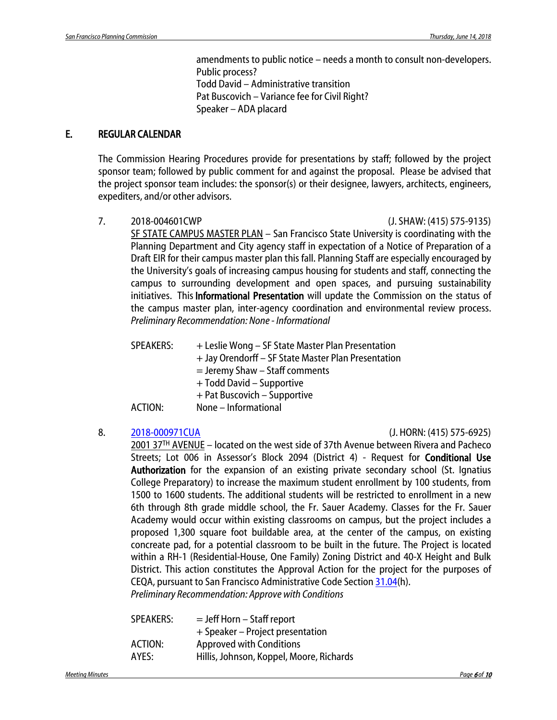amendments to public notice – needs a month to consult non-developers. Public process? Todd David – Administrative transition Pat Buscovich – Variance fee for Civil Right? Speaker – ADA placard

### E. REGULAR CALENDAR

The Commission Hearing Procedures provide for presentations by staff; followed by the project sponsor team; followed by public comment for and against the proposal. Please be advised that the project sponsor team includes: the sponsor(s) or their designee, lawyers, architects, engineers, expediters, and/or other advisors.

7. 2018-004601CWP (J. SHAW: (415) 575-9135)

SF STATE CAMPUS MASTER PLAN – San Francisco State University is coordinating with the Planning Department and City agency staff in expectation of a Notice of Preparation of a Draft EIR for their campus master plan this fall. Planning Staff are especially encouraged by the University's goals of increasing campus housing for students and staff, connecting the campus to surrounding development and open spaces, and pursuing sustainability initiatives. This Informational Presentation will update the Commission on the status of the campus master plan, inter-agency coordination and environmental review process. *Preliminary Recommendation: None - Informational*

- SPEAKERS: + Leslie Wong SF State Master Plan Presentation
	- + Jay Orendorff SF State Master Plan Presentation
	- = Jeremy Shaw Staff comments
	- + Todd David Supportive
	- + Pat Buscovich Supportive
- ACTION: None Informational

### 8. [2018-000971CUA](http://commissions.sfplanning.org/cpcpackets/2018-000971CUA.pdf) (J. HORN: (415) 575-6925)

2001 37<sup>TH</sup> AVENUE – located on the west side of 37th Avenue between Rivera and Pacheco Streets; Lot 006 in Assessor's Block 2094 (District 4) - Request for Conditional Use Authorization for the expansion of an existing private secondary school (St. Ignatius College Preparatory) to increase the maximum student enrollment by 100 students, from 1500 to 1600 students. The additional students will be restricted to enrollment in a new 6th through 8th grade middle school, the Fr. Sauer Academy. Classes for the Fr. Sauer Academy would occur within existing classrooms on campus, but the project includes a proposed 1,300 square foot buildable area, at the center of the campus, on existing concreate pad, for a potential classroom to be built in the future. The Project is located within a RH-1 (Residential-House, One Family) Zoning District and 40-X Height and Bulk District. This action constitutes the Approval Action for the project for the purposes of CEQA, pursuant to San Francisco Administrative Code Sectio[n 31.04\(](http://library.amlegal.com/nxt/gateway.dll/California/administrative/chapter31californiaenvironmentalqualitya?f=templates$fn=default.htm$3.0$vid=amlegal:sanfrancisco_ca$anc=JD_31.04)h). *Preliminary Recommendation: Approve with Conditions*

| $=$ Jeff Horn – Staff report             |
|------------------------------------------|
| + Speaker – Project presentation         |
| <b>Approved with Conditions</b>          |
| Hillis, Johnson, Koppel, Moore, Richards |
|                                          |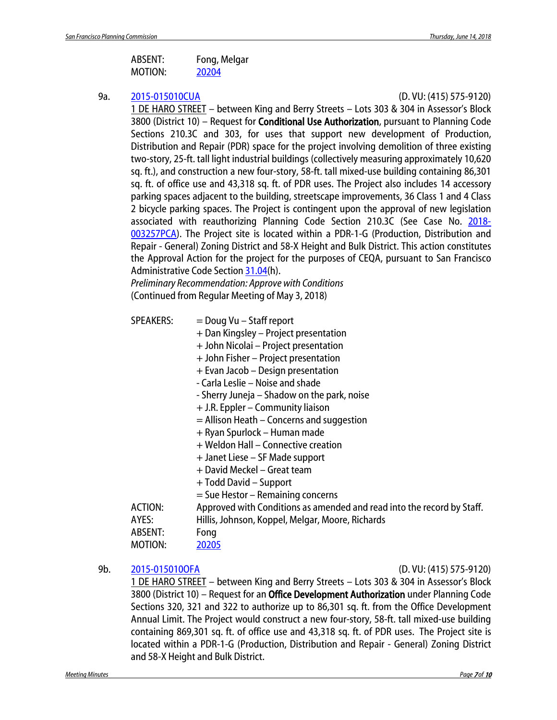| ABSENT: | Fong, Melgar |
|---------|--------------|
| MOTION: | 20204        |

#### 9a. [2015-015010CUA](http://commissions.sfplanning.org/cpcpackets/2015-015010CUAOFA.pdf) (D. VU: (415) 575-9120)

1 DE HARO STREET – between King and Berry Streets – Lots 303 & 304 in Assessor's Block 3800 (District 10) - Request for Conditional Use Authorization, pursuant to Planning Code Sections 210.3C and 303, for uses that support new development of Production, Distribution and Repair (PDR) space for the project involving demolition of three existing two-story, 25-ft. tall light industrial buildings (collectively measuring approximately 10,620 sq. ft.), and construction a new four-story, 58-ft. tall mixed-use building containing 86,301 sq. ft. of office use and 43,318 sq. ft. of PDR uses. The Project also includes 14 accessory parking spaces adjacent to the building, streetscape improvements, 36 Class 1 and 4 Class 2 bicycle parking spaces. The Project is contingent upon the approval of new legislation associated with reauthorizing Planning Code Section 210.3C (See Case No. [2018-](http://commissions.sfplanning.org/cpcpackets/2018-003257PCA.pdf) [003257PCA\)](http://commissions.sfplanning.org/cpcpackets/2018-003257PCA.pdf). The Project site is located within a PDR-1-G (Production, Distribution and Repair - General) Zoning District and 58-X Height and Bulk District. This action constitutes the Approval Action for the project for the purposes of CEQA, pursuant to San Francisco Administrative Code Section [31.04\(](http://library.amlegal.com/nxt/gateway.dll/California/administrative/chapter31californiaenvironmentalqualitya?f=templates$fn=default.htm$3.0$vid=amlegal:sanfrancisco_ca$anc=JD_31.04)h).

*Preliminary Recommendation: Approve with Conditions* (Continued from Regular Meeting of May 3, 2018)

- $SPEAKERS:$  = Doug Vu Staff report
	- + Dan Kingsley Project presentation
	- + John Nicolai Project presentation
	- + John Fisher Project presentation
	- + Evan Jacob Design presentation
	- Carla Leslie Noise and shade
	- Sherry Juneja Shadow on the park, noise
	- + J.R. Eppler Community liaison
	- = Allison Heath Concerns and suggestion
	- + Ryan Spurlock Human made
	- + Weldon Hall Connective creation
	- + Janet Liese SF Made support
	- + David Meckel Great team
	- + Todd David Support
	- = Sue Hestor Remaining concerns

ACTION: Approved with Conditions as amended and read into the record by Staff.

- AYES: Hillis, Johnson, Koppel, Melgar, Moore, Richards
- ABSENT: Fong
- MOTION: [20205](http://citypln-m-extnl.sfgov.org/link.ashx?Action=Download&ObjectVersion=-1&vault=%7bA4A7DACD-B0DC-4322-BD29-F6F07103C6E0%7d&objectGUID=%7b8E088051-8071-40B4-903F-1F5D750C83F6%7d&fileGUID=%7bDD2F7F21-DF09-44E7-BC9D-FB92F4F86E5D%7d)

### 9b. [2015-015010OFA](http://commissions.sfplanning.org/cpcpackets/2015-015010CUAOFA.pdf) (D. VU: (415) 575-9120)

1 DE HARO STREET – between King and Berry Streets – Lots 303 & 304 in Assessor's Block 3800 (District 10) – Request for an Office Development Authorization under Planning Code Sections 320, 321 and 322 to authorize up to 86,301 sq. ft. from the Office Development Annual Limit. The Project would construct a new four-story, 58-ft. tall mixed-use building containing 869,301 sq. ft. of office use and 43,318 sq. ft. of PDR uses. The Project site is located within a PDR-1-G (Production, Distribution and Repair - General) Zoning District and 58-X Height and Bulk District.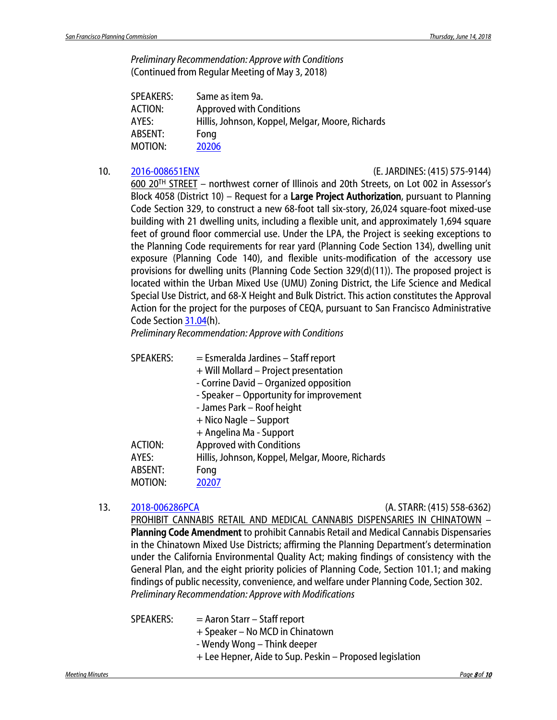*Preliminary Recommendation: Approve with Conditions* (Continued from Regular Meeting of May 3, 2018)

| SPEAKERS: | Same as item 9a.                                 |
|-----------|--------------------------------------------------|
| ACTION:   | <b>Approved with Conditions</b>                  |
| AYES:     | Hillis, Johnson, Koppel, Melgar, Moore, Richards |
| ABSENT:   | Fong                                             |
| MOTION:   | 20206                                            |

#### 10. [2016-008651ENX](http://commissions.sfplanning.org/cpcpackets/2016-008651ENX.pdf) (E. JARDINES: (415) 575-9144)

600 20TH STREET – northwest corner of Illinois and 20th Streets, on Lot 002 in Assessor's Block 4058 (District 10) – Request for a Large Project Authorization, pursuant to Planning Code Section 329, to construct a new 68-foot tall six-story, 26,024 square-foot mixed-use building with 21 dwelling units, including a flexible unit, and approximately 1,694 square feet of ground floor commercial use. Under the LPA, the Project is seeking exceptions to the Planning Code requirements for rear yard (Planning Code Section 134), dwelling unit exposure (Planning Code 140), and flexible units-modification of the accessory use provisions for dwelling units (Planning Code Section 329(d)(11)). The proposed project is located within the Urban Mixed Use (UMU) Zoning District, the Life Science and Medical Special Use District, and 68-X Height and Bulk District. This action constitutes the Approval Action for the project for the purposes of CEQA, pursuant to San Francisco Administrative Code Sectio[n 31.04\(](http://library.amlegal.com/nxt/gateway.dll/California/administrative/chapter31californiaenvironmentalqualitya?f=templates$fn=default.htm$3.0$vid=amlegal:sanfrancisco_ca$anc=JD_31.04)h).

*Preliminary Recommendation: Approve with Conditions*

| <b>SPEAKERS:</b> | = Esmeralda Jardines - Staff report              |
|------------------|--------------------------------------------------|
|                  | + Will Mollard - Project presentation            |
|                  | - Corrine David - Organized opposition           |
|                  | - Speaker - Opportunity for improvement          |
|                  | - James Park - Roof height                       |
|                  | + Nico Nagle – Support                           |
|                  | + Angelina Ma - Support                          |
| <b>ACTION:</b>   | <b>Approved with Conditions</b>                  |
| AYES:            | Hillis, Johnson, Koppel, Melgar, Moore, Richards |
| <b>ABSENT:</b>   | Fong                                             |
| <b>MOTION:</b>   | 20207                                            |

13. [2018-006286PCA](http://commissions.sfplanning.org/cpcpackets/2018-006286PCA.pdf) (A. STARR: (415) 558-6362)

PROHIBIT CANNABIS RETAIL AND MEDICAL CANNABIS DISPENSARIES IN CHINATOWN – Planning Code Amendment to prohibit Cannabis Retail and Medical Cannabis Dispensaries in the Chinatown Mixed Use Districts; affirming the Planning Department's determination under the California Environmental Quality Act; making findings of consistency with the General Plan, and the eight priority policies of Planning Code, Section 101.1; and making findings of public necessity, convenience, and welfare under Planning Code, Section 302. *Preliminary Recommendation: Approve with Modifications*

SPEAKERS: = Aaron Starr – Staff report + Speaker – No MCD in Chinatown - Wendy Wong – Think deeper + Lee Hepner, Aide to Sup. Peskin – Proposed legislation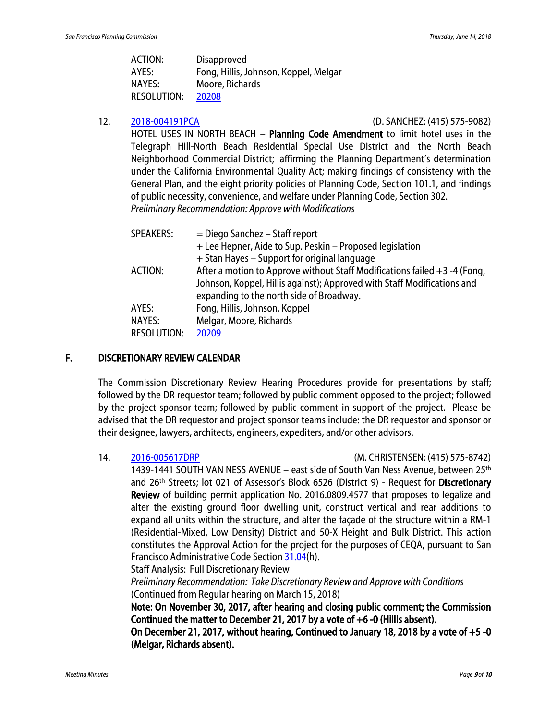| <b>ACTION:</b>     | <b>Disapproved</b>                    |
|--------------------|---------------------------------------|
| AYES:              | Fong, Hillis, Johnson, Koppel, Melgar |
| NAYES:             | Moore, Richards                       |
| <b>RESOLUTION:</b> | 20208                                 |

12. [2018-004191PCA](http://commissions.sfplanning.org/cpcpackets/2018-004191PCA.pdf) (D. SANCHEZ: (415) 575-9082)

HOTEL USES IN NORTH BEACH - Planning Code Amendment to limit hotel uses in the Telegraph Hill-North Beach Residential Special Use District and the North Beach Neighborhood Commercial District; affirming the Planning Department's determination under the California Environmental Quality Act; making findings of consistency with the General Plan, and the eight priority policies of Planning Code, Section 101.1, and findings of public necessity, convenience, and welfare under Planning Code, Section 302. *Preliminary Recommendation: Approve with Modifications*

| <b>SPEAKERS:</b>   | $=$ Diego Sanchez – Staff report                                            |
|--------------------|-----------------------------------------------------------------------------|
|                    | + Lee Hepner, Aide to Sup. Peskin - Proposed legislation                    |
|                    | + Stan Hayes - Support for original language                                |
| ACTION:            | After a motion to Approve without Staff Modifications failed $+3 -4$ (Fong, |
|                    | Johnson, Koppel, Hillis against); Approved with Staff Modifications and     |
|                    | expanding to the north side of Broadway.                                    |
| AYES:              | Fong, Hillis, Johnson, Koppel                                               |
| <b>NAYES:</b>      | Melgar, Moore, Richards                                                     |
| <b>RESOLUTION:</b> | 20209                                                                       |
|                    |                                                                             |

#### F. DISCRETIONARY REVIEW CALENDAR

The Commission Discretionary Review Hearing Procedures provide for presentations by staff; followed by the DR requestor team; followed by public comment opposed to the project; followed by the project sponsor team; followed by public comment in support of the project. Please be advised that the DR requestor and project sponsor teams include: the DR requestor and sponsor or their designee, lawyers, architects, engineers, expediters, and/or other advisors.

14. [2016-005617DRP](http://commissions.sfplanning.org/cpcpackets/2016-005617DRPc4.pdf) (M. CHRISTENSEN: (415) 575-8742)

1439-1441 SOUTH VAN NESS AVENUE – east side of South Van Ness Avenue, between 25th and 26<sup>th</sup> Streets; lot 021 of Assessor's Block 6526 (District 9) - Request for Discretionary Review of building permit application No. 2016.0809.4577 that proposes to legalize and alter the existing ground floor dwelling unit, construct vertical and rear additions to expand all units within the structure, and alter the façade of the structure within a RM-1 (Residential-Mixed, Low Density) District and 50-X Height and Bulk District. This action constitutes the Approval Action for the project for the purposes of CEQA, pursuant to San Francisco Administrative Code Section [31.04\(](http://library.amlegal.com/nxt/gateway.dll/California/administrative/chapter31californiaenvironmentalqualitya?f=templates$fn=default.htm$3.0$vid=amlegal:sanfrancisco_ca$anc=JD_31.04)h).

Staff Analysis: Full Discretionary Review

*Preliminary Recommendation: Take Discretionary Review and Approve with Conditions* (Continued from Regular hearing on March 15, 2018)

Note: On November 30, 2017, after hearing and closing public comment; the Commission Continued the matter to December 21, 2017 by a vote of +6 -0 (Hillis absent).

On December 21, 2017, without hearing, Continued to January 18, 2018 by a vote of +5 -0 (Melgar, Richards absent).